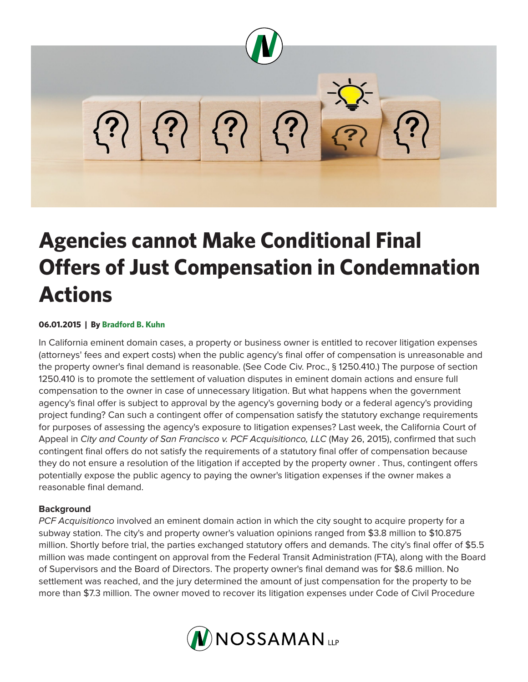

# **Agencies cannot Make Conditional Final Offers of Just Compensation in Condemnation Actions**

## **06.01.2015 | By Bradford B. Kuhn**

In California eminent domain cases, a property or business owner is entitled to recover litigation expenses (attorneys' fees and expert costs) when the public agency's final offer of compensation is unreasonable and the property owner's final demand is reasonable. (See Code Civ. Proc., § 1250.410.) The purpose of section 1250.410 is to promote the settlement of valuation disputes in eminent domain actions and ensure full compensation to the owner in case of unnecessary litigation. But what happens when the government agency's final offer is subject to approval by the agency's governing body or a federal agency's providing project funding? Can such a contingent offer of compensation satisfy the statutory exchange requirements for purposes of assessing the agency's exposure to litigation expenses? Last week, the California Court of Appeal in *City and County of San Francisco v. PCF Acquisitionco, LLC* (May 26, 2015), confirmed that such contingent final offers do not satisfy the requirements of a statutory final offer of compensation because they do not ensure a resolution of the litigation if accepted by the property owner . Thus, contingent offers potentially expose the public agency to paying the owner's litigation expenses if the owner makes a reasonable final demand.

#### **Background**

*PCF Acquisitionco* involved an eminent domain action in which the city sought to acquire property for a subway station. The city's and property owner's valuation opinions ranged from \$3.8 million to \$10.875 million. Shortly before trial, the parties exchanged statutory offers and demands. The city's final offer of \$5.5 million was made contingent on approval from the Federal Transit Administration (FTA), along with the Board of Supervisors and the Board of Directors. The property owner's final demand was for \$8.6 million. No settlement was reached, and the jury determined the amount of just compensation for the property to be more than \$7.3 million. The owner moved to recover its litigation expenses under Code of Civil Procedure

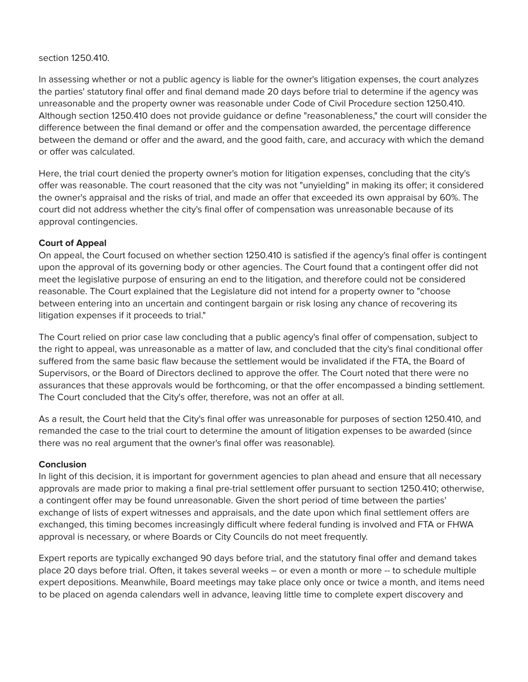#### section 1250.410.

In assessing whether or not a public agency is liable for the owner's litigation expenses, the court analyzes the parties' statutory final offer and final demand made 20 days before trial to determine if the agency was unreasonable and the property owner was reasonable under Code of Civil Procedure section 1250.410. Although section 1250.410 does not provide guidance or define "reasonableness," the court will consider the difference between the final demand or offer and the compensation awarded, the percentage difference between the demand or offer and the award, and the good faith, care, and accuracy with which the demand or offer was calculated.

Here, the trial court denied the property owner's motion for litigation expenses, concluding that the city's offer was reasonable. The court reasoned that the city was not "unyielding" in making its offer; it considered the owner's appraisal and the risks of trial, and made an offer that exceeded its own appraisal by 60%. The court did not address whether the city's final offer of compensation was unreasonable because of its approval contingencies.

### **Court of Appeal**

On appeal, the Court focused on whether section 1250.410 is satisfied if the agency's final offer is contingent upon the approval of its governing body or other agencies. The Court found that a contingent offer did not meet the legislative purpose of ensuring an end to the litigation, and therefore could not be considered reasonable. The Court explained that the Legislature did not intend for a property owner to "choose between entering into an uncertain and contingent bargain or risk losing any chance of recovering its litigation expenses if it proceeds to trial."

The Court relied on prior case law concluding that a public agency's final offer of compensation, subject to the right to appeal, was unreasonable as a matter of law, and concluded that the city's final conditional offer suffered from the same basic flaw because the settlement would be invalidated if the FTA, the Board of Supervisors, or the Board of Directors declined to approve the offer. The Court noted that there were no assurances that these approvals would be forthcoming, or that the offer encompassed a binding settlement. The Court concluded that the City's offer, therefore, was not an offer at all.

As a result, the Court held that the City's final offer was unreasonable for purposes of section 1250.410, and remanded the case to the trial court to determine the amount of litigation expenses to be awarded (since there was no real argument that the owner's final offer was reasonable).

#### **Conclusion**

In light of this decision, it is important for government agencies to plan ahead and ensure that all necessary approvals are made prior to making a final pre-trial settlement offer pursuant to section 1250.410; otherwise, a contingent offer may be found unreasonable. Given the short period of time between the parties' exchange of lists of expert witnesses and appraisals, and the date upon which final settlement offers are exchanged, this timing becomes increasingly difficult where federal funding is involved and FTA or FHWA approval is necessary, or where Boards or City Councils do not meet frequently.

Expert reports are typically exchanged 90 days before trial, and the statutory final offer and demand takes place 20 days before trial. Often, it takes several weeks – or even a month or more -- to schedule multiple expert depositions. Meanwhile, Board meetings may take place only once or twice a month, and items need to be placed on agenda calendars well in advance, leaving little time to complete expert discovery and